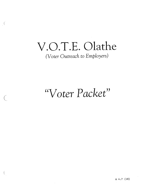# V.O.T.E. Olathe

 $\left($ 

(Voter Outreach to Employers)

## "Voter Packet"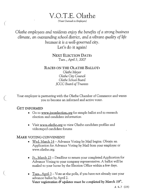V.O.T.E. Olathe

(Voter Outreach to Employers)

Olathe employees and residents enjoy the benefits of a strong business climate, an outstanding school district, and a vibrant quality of life because it is a well-governed city. Let's do it again!

> NEXT ELECTION DATE: Tues., April3, 2007

RACES ON THE OLATHE BALLOT:

Olathe Mayor Qlathe City Council Olathe School Board JCCC Board of Trustees

Your employer is partnering with the Olathe Chamber of Commerce and wants you to become an informed and active voter.

#### GET INFORMED

- Go to www.jocoelection.org for sample ballot and to research election and candidate information
- Visit www.olathe.org to view Olathe candidate profiles and videotaped candidate forums

#### MAKE VOTING CONVENIENT

- <u>Wed. March 14</u> Advance Voting by Mail begins. Obtain an Application for Advance Voting by Mail from your employer or www.olathe.org.
- Fr., March 23 Deadline to return your completed Application for Advance Voting to your company representative. A ballot will be mailed to your home by the Election Office within a few days.
- Tues.,  $April 3 \nVote$  at the polls, if you have not already cast your advance ballot by April 2. Voter registration  $\mathcal C$  updates must be completed by March  $19^{th}$ .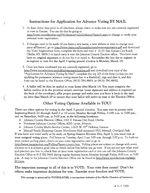## Instructions for Application for Advance Voting BY MAIL

- 1. At least thirty days prior to all elections, always check to make sure you are correctly registered to vote in Kansas. You can do this by going to http://voter.jocoelection.org/(41rdzjazunrvx2n2orfesogt)/search.aspx to change or verify your personal voter registration.
- 2. If changes need to be made (if you have a new name, a new address or wish to change your party affiliation), go to http://www.kssos.org/forms/elections/voterregistration.pdf and download the Voter Registration form, complete the form and mail it (2101 East Kansas City Road; Olathe, KS 66061) or hand-carry it into the Johnson County Election office. This form must have an original signature so do not fax it or email it. Remember the last day to register or re-register to vote for the April 3 spring general election is Monday, March 19.
- 3. Once you have confirmed you are correctly registered, go to http://www.jocoelection.org/pdf/advanceapplication.pdf and download your copy of the "Application for Advance Voting by Mail", complete the top 2/3 of the form (unless you are applying for permanent advance voting status due to a disability), sign and date it, and this form can be faxed to the Election Office, (913) 791-8931 or (913) 791-8932.
- 4. A ballot will be then be mailed to your home after March 14. You must complete the ballot, enclose it in the provided return envelope (your signature and address is required on the back of the envelope), affix proper postage and make sure you have it back in the mail no later than March 29 to ensure that your ballot will arrive in time at the Election Office.

## Other Voting Options Available to YOU!

There are other options for voting in the April <sup>3</sup> general election. You may vote in person early beginning March 22 through April 2 at 12 noon; Monday through Friday, 11:00 a.m. to 7:00 pm., and on Saturdays, 9:00 a.m. to 5:00 p.m. at the following locations:

- Johnson County Election Office, 2101 E. Kansas City Road, Olathe.
- Northeast Johnson County Offices, 6000 Lamar, Mission.
- Johnson County Multi-Service Center, 12425 W. 87<sup>th</sup> Parkway, Lenexa.
- Metcalf South Shopping Center (Northwest Mall entrance) 9531 Metcalf, Overland Park.

If you have not voted early or by mail, on Spring General Election Day, April 3, you must vote at your assigned voting place. Poll hours on Tuesday, April <sup>3</sup> are 7:00 a.m. through 7:00 p.m. To look-up your current polling place, check on your voter registration card or go to

http://www.jocoelection.org/PollingPlaces-current.htm. Polling places are subject to change with every election so it is always a good idea to check online first before you go vote. If you are not sure what ward and precinct you live in, check first on your voter registration card or you can call the Johnson County Election Office at 913 782-3441 during regular business hours, Monday through Friday, 8:00 a.m. to 5:00 p.m. A map to the Johnson County Election Office can be found at http://www.jocoelection.org/map-EO.htm.

The important message in all of this is to VOTE. Your vote does count! Don't let others make important decisions for you. Exercise your freedom and VOTE.

This message is sponsored by VOTEOLATHE, a non-partisan initiative of the Olathe Chamber of Commerce.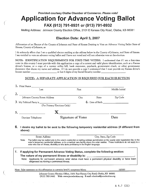## Provided courtesy Olathe Chamber of Commerce. Please vote! Application for Advance Voting Ballot FAX (913) 791-8931 or (913) 791-8932

Mailing Address: Johnson County Election Office, 2101 E Kansas City Road, Olathe, KS 66061

### Election Date: April 3, 2007

Affirmation of an Elector of the County of Johnson and State of Kansas Desiring to Vote an Advance Voting Ballot State of Kansas, County of Johnson, ss:

I do solemnly affirm that I am a qualified elector residing at the address below in the County of Johnson, and State of Kansas. <sup>I</sup> am entitled to vote an advance voting ballot and <sup>I</sup> have not voted and will not otherwise vote at the election.

NOTE: IDENTIFICATION REQUIREMENTS FOR FIRST-TIME VOTERS. I understand that if I am a first-time voter in this county <sup>I</sup> must provide with this application a copy of a current and valid photo identification, such as a Kansas driver's license, or a copy of a current utility bill, bank statement, paycheck, govemment check, or other government document that shows my name and address. If <sup>I</sup> do not provide a copy <sup>I</sup> understand that <sup>I</sup> must provide my Kansas driver's license number or last 4 digits of my Social Security number

#### NOTE: A SEPARATE APPLICATION IS REQUIRED FOR EACH ELECTION

| 1. Print Name $\_\_$<br>Last  |                              | First |                    | Middle Initial |
|-------------------------------|------------------------------|-------|--------------------|----------------|
|                               |                              |       |                    |                |
| Johnson County Street Address |                              | City  | State              | Zip Code       |
|                               |                              |       | $4.$ Date of Birth |                |
|                               | (For Primary Elections Only) |       |                    |                |
|                               |                              |       |                    |                |
| Daytime Telephone             | Signature of Voter           |       |                    | Date           |

#### 6. <sup>I</sup> desire my ballot to be sent to the following temporary residential address (if different from above):

|       | Street Address                                                                         | City, State, Zip Code                                                                                                                                                                                                                                                        |
|-------|----------------------------------------------------------------------------------------|------------------------------------------------------------------------------------------------------------------------------------------------------------------------------------------------------------------------------------------------------------------------------|
| Note: | voter who has an illness, disability or who lacks proficiency in the English language. | The ballot may be mailed only to the voter's residential or mailing address as indicated on the county voter registration list, to the<br>voter's temporary residential address, or to a medical care facility where the voter resides. These restrictions do not apply to a |
|       |                                                                                        |                                                                                                                                                                                                                                                                              |
| 7.    | The nature of my permanent illness or disability is:                                   | If applying for Permanent Advance Voting Status, complete the following section:                                                                                                                                                                                             |

Johnson County Election Office, 2101 East Kansas City Road, Olathe, KS 66061 (913) 782-3441 Web: www.jocoelection.org E-mail: election@jocoelection.org

 $\sim 10$